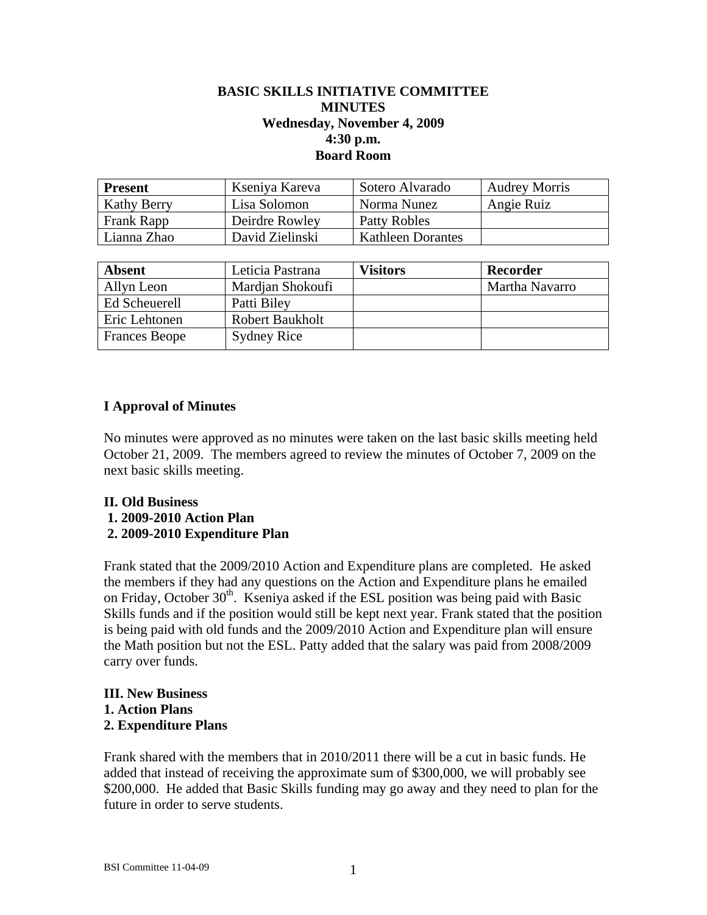### **BASIC SKILLS INITIATIVE COMMITTEE MINUTES Wednesday, November 4, 2009 4:30 p.m. Board Room**

| <b>Present</b>     | Kseniya Kareva  | Sotero Alvarado          | <b>Audrey Morris</b> |
|--------------------|-----------------|--------------------------|----------------------|
| <b>Kathy Berry</b> | Lisa Solomon    | Norma Nunez              | Angie Ruiz           |
| Frank Rapp         | Deirdre Rowley  | Patty Robles             |                      |
| Lianna Zhao        | David Zielinski | <b>Kathleen Dorantes</b> |                      |

| <b>Absent</b>        | Leticia Pastrana       | Visitors | Recorder       |
|----------------------|------------------------|----------|----------------|
| Allyn Leon           | Mardian Shokoufi       |          | Martha Navarro |
| Ed Scheuerell        | Patti Biley            |          |                |
| Eric Lehtonen        | <b>Robert Baukholt</b> |          |                |
| <b>Frances Beope</b> | <b>Sydney Rice</b>     |          |                |

### **I Approval of Minutes**

No minutes were approved as no minutes were taken on the last basic skills meeting held October 21, 2009. The members agreed to review the minutes of October 7, 2009 on the next basic skills meeting.

# **II. Old Business**

- **1. 2009-2010 Action Plan**
- **2. 2009-2010 Expenditure Plan**

Frank stated that the 2009/2010 Action and Expenditure plans are completed. He asked the members if they had any questions on the Action and Expenditure plans he emailed on Friday, October  $30<sup>th</sup>$ . Kseniya asked if the ESL position was being paid with Basic Skills funds and if the position would still be kept next year. Frank stated that the position is being paid with old funds and the 2009/2010 Action and Expenditure plan will ensure the Math position but not the ESL. Patty added that the salary was paid from 2008/2009 carry over funds.

#### **III. New Business 1. Action Plans 2. Expenditure Plans**

Frank shared with the members that in 2010/2011 there will be a cut in basic funds. He added that instead of receiving the approximate sum of \$300,000, we will probably see \$200,000. He added that Basic Skills funding may go away and they need to plan for the future in order to serve students.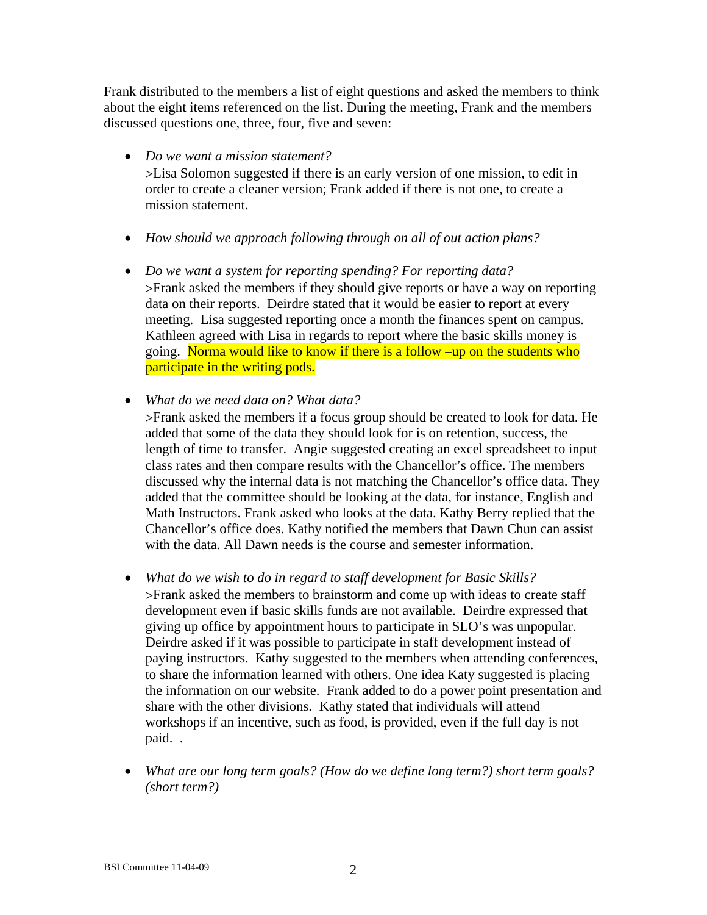Frank distributed to the members a list of eight questions and asked the members to think about the eight items referenced on the list. During the meeting, Frank and the members discussed questions one, three, four, five and seven:

- *Do we want a mission statement?*  Lisa Solomon suggested if there is an early version of one mission, to edit in order to create a cleaner version; Frank added if there is not one, to create a mission statement.
- *How should we approach following through on all of out action plans?*
- *Do we want a system for reporting spending? For reporting data?*  Frank asked the members if they should give reports or have a way on reporting data on their reports. Deirdre stated that it would be easier to report at every meeting. Lisa suggested reporting once a month the finances spent on campus. Kathleen agreed with Lisa in regards to report where the basic skills money is going. Norma would like to know if there is a follow –up on the students who participate in the writing pods.
- *What do we need data on? What data?*

Frank asked the members if a focus group should be created to look for data. He added that some of the data they should look for is on retention, success, the length of time to transfer. Angie suggested creating an excel spreadsheet to input class rates and then compare results with the Chancellor's office. The members discussed why the internal data is not matching the Chancellor's office data. They added that the committee should be looking at the data, for instance, English and Math Instructors. Frank asked who looks at the data. Kathy Berry replied that the Chancellor's office does. Kathy notified the members that Dawn Chun can assist with the data. All Dawn needs is the course and semester information.

- *What do we wish to do in regard to staff development for Basic Skills?*  Frank asked the members to brainstorm and come up with ideas to create staff development even if basic skills funds are not available. Deirdre expressed that giving up office by appointment hours to participate in SLO's was unpopular. Deirdre asked if it was possible to participate in staff development instead of paying instructors. Kathy suggested to the members when attending conferences, to share the information learned with others. One idea Katy suggested is placing the information on our website. Frank added to do a power point presentation and share with the other divisions. Kathy stated that individuals will attend workshops if an incentive, such as food, is provided, even if the full day is not paid. .
- *What are our long term goals? (How do we define long term?) short term goals? (short term?)*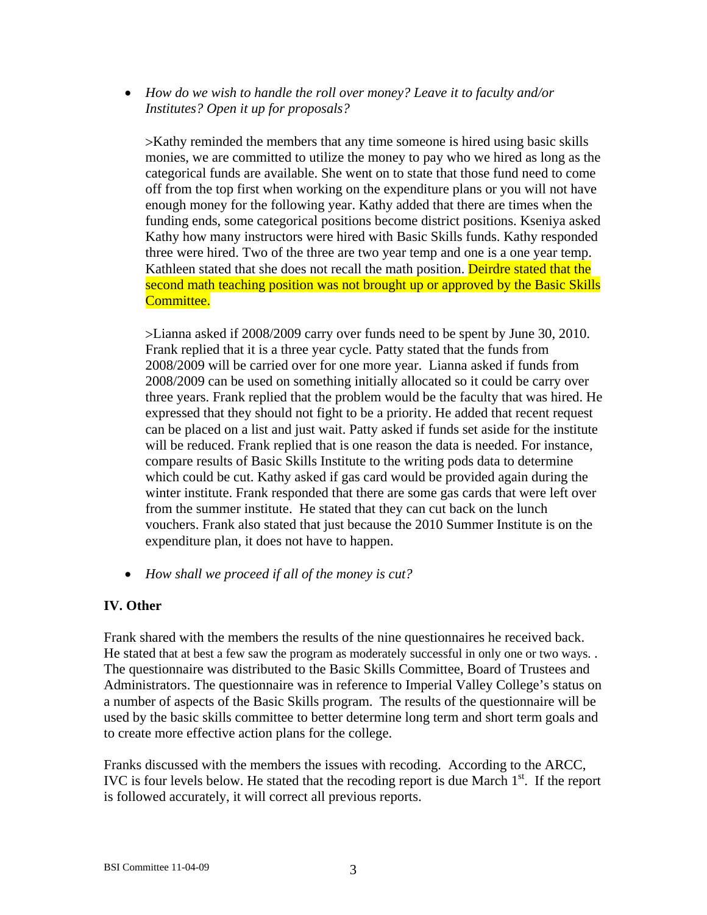*How do we wish to handle the roll over money? Leave it to faculty and/or Institutes? Open it up for proposals?* 

Kathy reminded the members that any time someone is hired using basic skills monies, we are committed to utilize the money to pay who we hired as long as the categorical funds are available. She went on to state that those fund need to come off from the top first when working on the expenditure plans or you will not have enough money for the following year. Kathy added that there are times when the funding ends, some categorical positions become district positions. Kseniya asked Kathy how many instructors were hired with Basic Skills funds. Kathy responded three were hired. Two of the three are two year temp and one is a one year temp. Kathleen stated that she does not recall the math position. Deirdre stated that the second math teaching position was not brought up or approved by the Basic Skills Committee.

Lianna asked if 2008/2009 carry over funds need to be spent by June 30, 2010. Frank replied that it is a three year cycle. Patty stated that the funds from 2008/2009 will be carried over for one more year. Lianna asked if funds from 2008/2009 can be used on something initially allocated so it could be carry over three years. Frank replied that the problem would be the faculty that was hired. He expressed that they should not fight to be a priority. He added that recent request can be placed on a list and just wait. Patty asked if funds set aside for the institute will be reduced. Frank replied that is one reason the data is needed. For instance, compare results of Basic Skills Institute to the writing pods data to determine which could be cut. Kathy asked if gas card would be provided again during the winter institute. Frank responded that there are some gas cards that were left over from the summer institute. He stated that they can cut back on the lunch vouchers. Frank also stated that just because the 2010 Summer Institute is on the expenditure plan, it does not have to happen.

*How shall we proceed if all of the money is cut?* 

## **IV. Other**

Frank shared with the members the results of the nine questionnaires he received back. He stated that at best a few saw the program as moderately successful in only one or two ways. . The questionnaire was distributed to the Basic Skills Committee, Board of Trustees and Administrators. The questionnaire was in reference to Imperial Valley College's status on a number of aspects of the Basic Skills program. The results of the questionnaire will be used by the basic skills committee to better determine long term and short term goals and to create more effective action plans for the college.

Franks discussed with the members the issues with recoding. According to the ARCC, IVC is four levels below. He stated that the recoding report is due March  $1<sup>st</sup>$ . If the report is followed accurately, it will correct all previous reports.